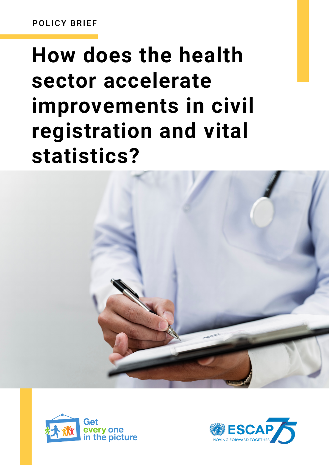POLICY BRIEF

# **How does the health sector accelerate improvements in civil registration and vital statistics?**





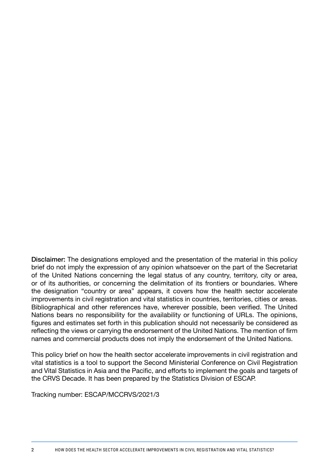Disclaimer: The designations employed and the presentation of the material in this policy brief do not imply the expression of any opinion whatsoever on the part of the Secretariat of the United Nations concerning the legal status of any country, territory, city or area, or of its authorities, or concerning the delimitation of its frontiers or boundaries. Where the designation "country or area" appears, it covers how the health sector accelerate improvements in civil registration and vital statistics in countries, territories, cities or areas. Bibliographical and other references have, wherever possible, been verified. The United Nations bears no responsibility for the availability or functioning of URLs. The opinions, figures and estimates set forth in this publication should not necessarily be considered as reflecting the views or carrying the endorsement of the United Nations. The mention of firm names and commercial products does not imply the endorsement of the United Nations.

This policy brief on how the health sector accelerate improvements in civil registration and vital statistics is a tool to support the Second Ministerial Conference on Civil Registration and Vital Statistics in Asia and the Pacific, and efforts to implement the goals and targets of the CRVS Decade. It has been prepared by the Statistics Division of ESCAP.

Tracking number: ESCAP/MCCRVS/2021/3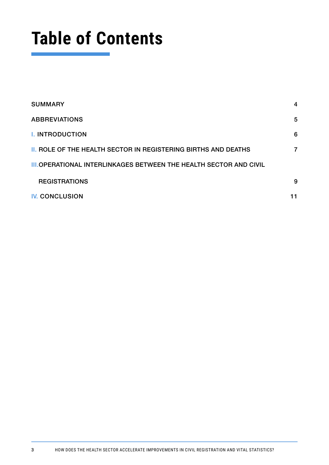## **Table of Contents**

| <b>SUMMARY</b>                                                           | 4  |
|--------------------------------------------------------------------------|----|
| <b>ABBREVIATIONS</b>                                                     | 5  |
| <b>I. INTRODUCTION</b>                                                   | 6  |
| <b>II. ROLE OF THE HEALTH SECTOR IN REGISTERING BIRTHS AND DEATHS</b>    | 7  |
| <b>III.OPERATIONAL INTERLINKAGES BETWEEN THE HEALTH SECTOR AND CIVIL</b> |    |
| <b>REGISTRATIONS</b>                                                     | 9  |
| <b>IV. CONCLUSION</b>                                                    | 11 |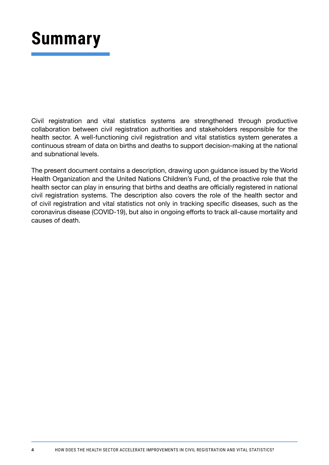### **Summary**

Civil registration and vital statistics systems are strengthened through productive collaboration between civil registration authorities and stakeholders responsible for the health sector. A well-functioning civil registration and vital statistics system generates a continuous stream of data on births and deaths to support decision-making at the national and subnational levels.

The present document contains a description, drawing upon guidance issued by the World Health Organization and the United Nations Children's Fund, of the proactive role that the health sector can play in ensuring that births and deaths are officially registered in national civil registration systems. The description also covers the role of the health sector and of civil registration and vital statistics not only in tracking specific diseases, such as the coronavirus disease (COVID-19), but also in ongoing efforts to track all-cause mortality and causes of death.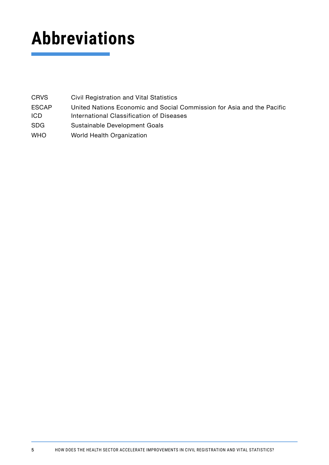## **Abbreviations**

| <b>CRVS</b>  | Civil Registration and Vital Statistics                                |
|--------------|------------------------------------------------------------------------|
| <b>ESCAP</b> | United Nations Economic and Social Commission for Asia and the Pacific |
| <b>ICD</b>   | International Classification of Diseases                               |
| <b>SDG</b>   | Sustainable Development Goals                                          |
| <b>WHO</b>   | World Health Organization                                              |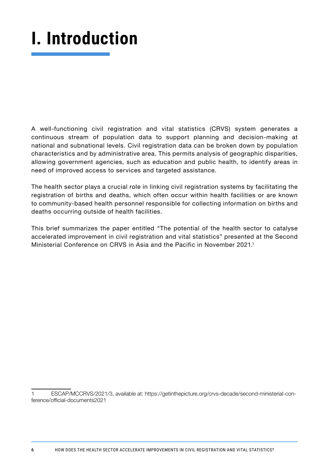## **I. Introduction**

A well-functioning civil registration and vital statistics (CRVS) system generates a continuous stream of population data to support planning and decision-making at national and subnational levels. Civil registration data can be broken down by population characteristics and by administrative area. This permits analysis of geographic disparities, allowing government agencies, such as education and public health, to identify areas in need of improved access to services and targeted assistance.

The health sector plays a crucial role in linking civil registration systems by facilitating the registration of births and deaths, which often occur within health facilities or are known to community-based health personnel responsible for collecting information on births and deaths occurring outside of health facilities.

This brief summarizes the paper entitled "The potential of the health sector to catalyse accelerated improvement in civil registration and vital statistics" presented at the Second Ministerial Conference on CRVS in Asia and the Pacific in November 2021.1

1 ESCAP/MCCRVS/2021/3, available at: https://getinthepicture.org/crvs-decade/second-ministerial-conference/official-documents2021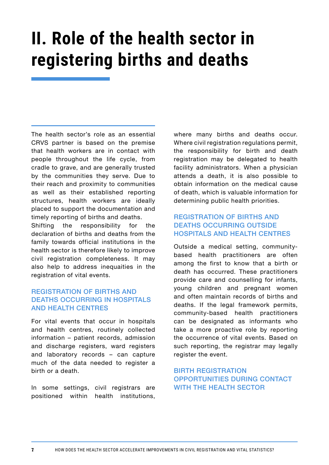### **II. Role of the health sector in registering births and deaths**

The health sector's role as an essential CRVS partner is based on the premise that health workers are in contact with people throughout the life cycle, from cradle to grave, and are generally trusted by the communities they serve. Due to their reach and proximity to communities as well as their established reporting structures, health workers are ideally placed to support the documentation and timely reporting of births and deaths.

Shifting the responsibility for the declaration of births and deaths from the family towards official institutions in the health sector is therefore likely to improve civil registration completeness. It may also help to address inequaities in the registration of vital events.

#### REGISTRATION OF BIRTHS AND DEATHS OCCURRING IN HOSPITALS AND HEALTH CENTRES

For vital events that occur in hospitals and health centres, routinely collected information – patient records, admission and discharge registers, ward registers and laboratory records – can capture much of the data needed to register a birth or a death.

In some settings, civil registrars are positioned within health institutions, where many births and deaths occur. Where civil registration regulations permit, the responsibility for birth and death registration may be delegated to health facility administrators. When a physician attends a death, it is also possible to obtain information on the medical cause of death, which is valuable information for determining public health priorities.

#### REGISTRATION OF BIRTHS AND DEATHS OCCURRING OUTSIDE HOSPITALS AND HEALTH CENTRES

Outside a medical setting, communitybased health practitioners are often among the first to know that a birth or death has occurred. These practitioners provide care and counselling for infants, young children and pregnant women and often maintain records of births and deaths. If the legal framework permits, community-based health practitioners can be designated as informants who take a more proactive role by reporting the occurrence of vital events. Based on such reporting, the registrar may legally register the event.

#### BIRTH REGISTRATION OPPORTUNITIES DURING CONTACT WITH THE HEALTH SECTOR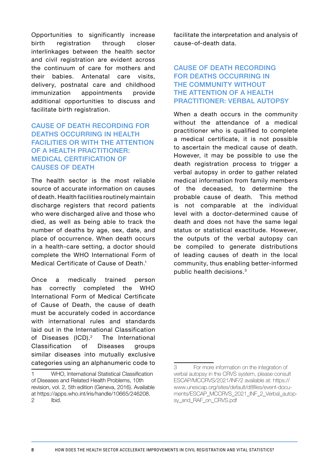Opportunities to significantly increase birth registration through closer interlinkages between the health sector and civil registration are evident across the continuum of care for mothers and their babies. Antenatal care visits, delivery, postnatal care and childhood immunization appointments provide additional opportunities to discuss and facilitate birth registration.

#### CAUSE OF DEATH RECORDING FOR DEATHS OCCURRING IN HEALTH FACILITIES OR WITH THE ATTENTION OF A HEALTH PRACTITIONER: MEDICAL CERTIFICATION OF CAUSES OF DEATH

The health sector is the most reliable source of accurate information on causes of death. Health facilities routinely maintain discharge registers that record patients who were discharged alive and those who died, as well as being able to track the number of deaths by age, sex, date, and place of occurrence. When death occurs in a health-care setting, a doctor should complete the WHO International Form of Medical Certificate of Cause of Death.1

Once a medically trained person has correctly completed the WHO International Form of Medical Certificate of Cause of Death, the cause of death must be accurately coded in accordance with international rules and standards laid out in the International Classification of Diseases (ICD).2 The International Classification of Diseases groups similar diseases into mutually exclusive categories using an alphanumeric code to facilitate the interpretation and analysis of cause-of-death data.

#### CAUSE OF DEATH RECORDING FOR DEATHS OCCURRING IN THE COMMUNITY WITHOUT THE ATTENTION OF A HEALTH PRACTITIONER: VERBAL AUTOPSY

When a death occurs in the community without the attendance of a medical practitioner who is qualified to complete a medical certificate, it is not possible to ascertain the medical cause of death. However, it may be possible to use the death registration process to trigger a verbal autopsy in order to gather related medical information from family members of the deceased, to determine the probable cause of death. This method is not comparable at the individual level with a doctor-determined cause of death and does not have the same legal status or statistical exactitude. However, the outputs of the verbal autopsy can be compiled to generate distributions of leading causes of death in the local community, thus enabling better-informed public health decisions.3

<sup>1</sup> WHO, International Statistical Classification of Diseases and Related Health Problems, 10th revision, vol. 2, 5th edition (Geneva, 2016). Available at https://apps.who.int/iris/handle/10665/246208. 2 Ibid.

<sup>3</sup> For more information on the integration of verbal autopsy in the CRVS system, please consult ESCAP/MCCRVS/2021/INF/2 available at: https:// www.unescap.org/sites/default/d8files/event-documents/ESCAP\_MCCRVS\_2021\_INF\_2\_Verbal\_autopsy\_and\_RAF\_on\_CRVS.pdf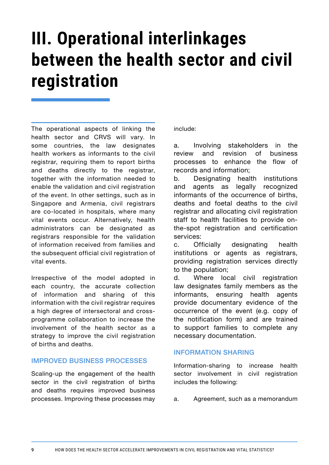### **III. Operational interlinkages between the health sector and civil registration**

The operational aspects of linking the health sector and CRVS will vary. In some countries, the law designates health workers as informants to the civil registrar, requiring them to report births and deaths directly to the registrar, together with the information needed to enable the validation and civil registration of the event. In other settings, such as in Singapore and Armenia, civil registrars are co-located in hospitals, where many vital events occur. Alternatively, health administrators can be designated as registrars responsible for the validation of information received from families and the subsequent official civil registration of vital events.

Irrespective of the model adopted in each country, the accurate collection of information and sharing of this information with the civil registrar requires a high degree of intersectoral and crossprogramme collaboration to increase the involvement of the health sector as a strategy to improve the civil registration of births and deaths.

#### IMPROVED BUSINESS PROCESSES

Scaling-up the engagement of the health sector in the civil registration of births and deaths requires improved business processes. Improving these processes may

#### include:

a. Involving stakeholders in the review and revision of business processes to enhance the flow of records and information;

b. Designating health institutions and agents as legally recognized informants of the occurrence of births, deaths and foetal deaths to the civil registrar and allocating civil registration staff to health facilities to provide onthe-spot registration and certification services:

c. Officially designating health institutions or agents as registrars, providing registration services directly to the population;

d. Where local civil registration law designates family members as the informants, ensuring health agents provide documentary evidence of the occurrence of the event (e.g. copy of the notification form) and are trained to support families to complete any necessary documentation.

#### INFORMATION SHARING

Information-sharing to increase health sector involvement in civil registration includes the following:

a. Agreement, such as a memorandum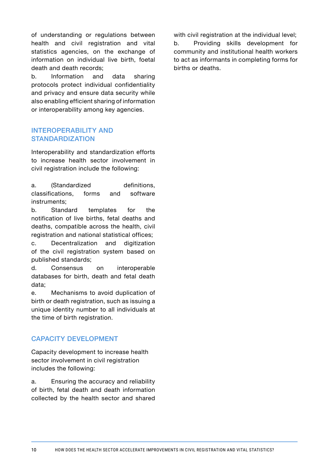of understanding or regulations between health and civil registration and vital statistics agencies, on the exchange of information on individual live birth, foetal death and death records;

b. Information and data sharing protocols protect individual confidentiality and privacy and ensure data security while also enabling efficient sharing of information or interoperability among key agencies.

#### INTEROPERABILITY AND **STANDARDIZATION**

Interoperability and standardization efforts to increase health sector involvement in civil registration include the following:

a. (Standardized definitions, classifications, forms and software instruments;

b. Standard templates for the notification of live births, fetal deaths and deaths, compatible across the health, civil registration and national statistical offices;

c. Decentralization and digitization of the civil registration system based on published standards;

d. Consensus on interoperable databases for birth, death and fetal death data;

e. Mechanisms to avoid duplication of birth or death registration, such as issuing a unique identity number to all individuals at the time of birth registration.

#### CAPACITY DEVELOPMENT

Capacity development to increase health sector involvement in civil registration includes the following:

a. Ensuring the accuracy and reliability of birth, fetal death and death information collected by the health sector and shared with civil registration at the individual level; b. Providing skills development for community and institutional health workers to act as informants in completing forms for births or deaths.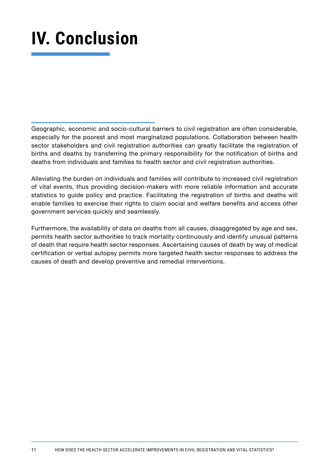## **IV. Conclusion**

Geographic, economic and socio-cultural barriers to civil registration are often considerable, especially for the poorest and most marginalized populations. Collaboration between health sector stakeholders and civil registration authorities can greatly facilitate the registration of births and deaths by transferring the primary responsibility for the notification of births and deaths from individuals and families to health sector and civil registration authorities.

Alleviating the burden on individuals and families will contribute to increased civil registration of vital events, thus providing decision-makers with more reliable information and accurate statistics to guide policy and practice. Facilitating the registration of births and deaths will enable families to exercise their rights to claim social and welfare benefits and access other government services quickly and seamlessly.

Furthermore, the availability of data on deaths from all causes, disaggregated by age and sex, permits health sector authorities to track mortality continuously and identify unusual patterns of death that require health sector responses. Ascertaining causes of death by way of medical certification or verbal autopsy permits more targeted health sector responses to address the causes of death and develop preventive and remedial interventions.